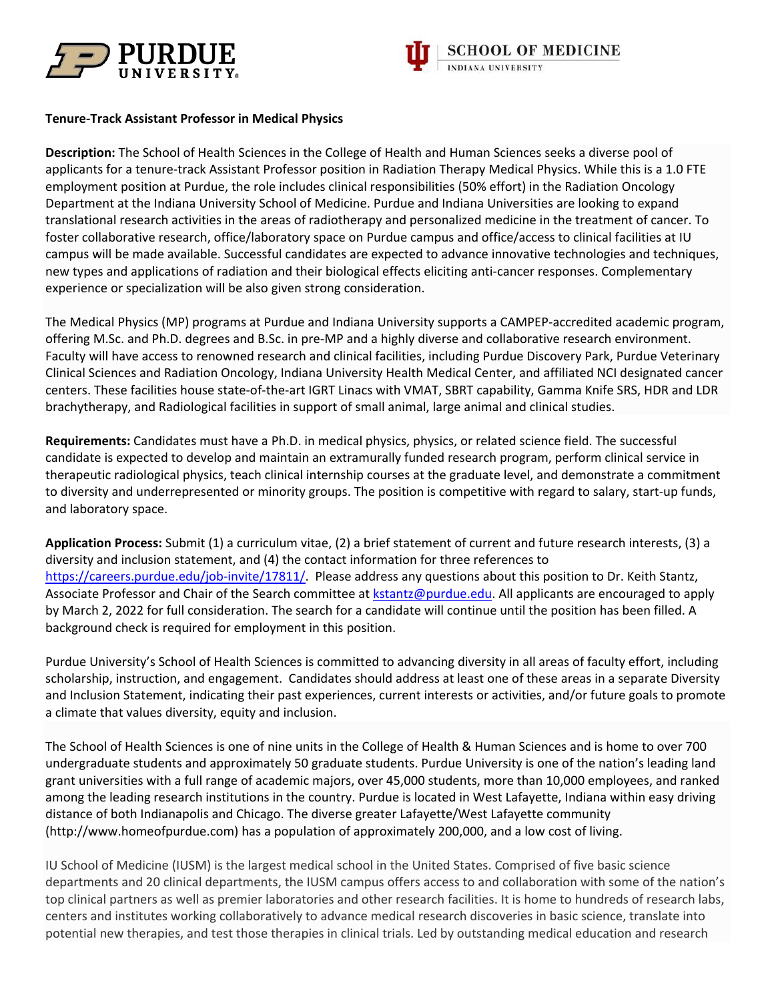



## **Tenure-Track Assistant Professor in Medical Physics**

**Description:** The School of Health Sciences in the College of Health and Human Sciences seeks a diverse pool of applicants for a tenure-track Assistant Professor position in Radiation Therapy Medical Physics. While this is a 1.0 FTE employment position at Purdue, the role includes clinical responsibilities (50% effort) in the Radiation Oncology Department at the Indiana University School of Medicine. Purdue and Indiana Universities are looking to expand translational research activities in the areas of radiotherapy and personalized medicine in the treatment of cancer. To foster collaborative research, office/laboratory space on Purdue campus and office/access to clinical facilities at IU campus will be made available. Successful candidates are expected to advance innovative technologies and techniques, new types and applications of radiation and their biological effects eliciting anti-cancer responses. Complementary experience or specialization will be also given strong consideration.

The Medical Physics (MP) programs at Purdue and Indiana University supports a CAMPEP-accredited academic program, offering M.Sc. and Ph.D. degrees and B.Sc. in pre-MP and a highly diverse and collaborative research environment. Faculty will have access to renowned research and clinical facilities, including Purdue Discovery Park, Purdue Veterinary Clinical Sciences and Radiation Oncology, Indiana University Health Medical Center, and affiliated NCI designated cancer centers. These facilities house state-of-the-art IGRT Linacs with VMAT, SBRT capability, Gamma Knife SRS, HDR and LDR brachytherapy, and Radiological facilities in support of small animal, large animal and clinical studies.

**Requirements:** Candidates must have a Ph.D. in medical physics, physics, or related science field. The successful candidate is expected to develop and maintain an extramurally funded research program, perform clinical service in therapeutic radiological physics, teach clinical internship courses at the graduate level, and demonstrate a commitment to diversity and underrepresented or minority groups. The position is competitive with regard to salary, start-up funds, and laboratory space.

**Application Process:** Submit (1) a curriculum vitae, (2) a brief statement of current and future research interests, (3) a diversity and inclusion statement, and (4) the contact information for three references to [https://careers.purdue.edu/job-invite/17811/.](https://careers.purdue.edu/job-invite/17811/) Please address any questions about this position to Dr. Keith Stantz, Associate Professor and Chair of the Search committee at [kstantz@purdue.edu.](mailto:kstantz@purdue.edu) All applicants are encouraged to apply by March 2, 2022 for full consideration. The search for a candidate will continue until the position has been filled. A background check is required for employment in this position.

Purdue University's School of Health Sciences is committed to advancing diversity in all areas of faculty effort, including scholarship, instruction, and engagement. Candidates should address at least one of these areas in a separate Diversity and Inclusion Statement, indicating their past experiences, current interests or activities, and/or future goals to promote a climate that values diversity, equity and inclusion.

The School of Health Sciences is one of nine units in the College of Health & Human Sciences and is home to over 700 undergraduate students and approximately 50 graduate students. Purdue University is one of the nation's leading land grant universities with a full range of academic majors, over 45,000 students, more than 10,000 employees, and ranked among the leading research institutions in the country. Purdue is located in West Lafayette, Indiana within easy driving distance of both Indianapolis and Chicago. The diverse greater Lafayette/West Lafayette community (http://www.homeofpurdue.com) has a population of approximately 200,000, and a low cost of living.

IU School of Medicine (IUSM) is the largest medical school in the United States. Comprised of five basic science departments and 20 clinical departments, the IUSM campus offers access to and collaboration with some of the nation's top clinical partners as well as premier laboratories and other research facilities. It is home to hundreds of research labs, centers and institutes working collaboratively to advance medical research discoveries in basic science, translate into potential new therapies, and test those therapies in clinical trials. Led by outstanding medical education and research